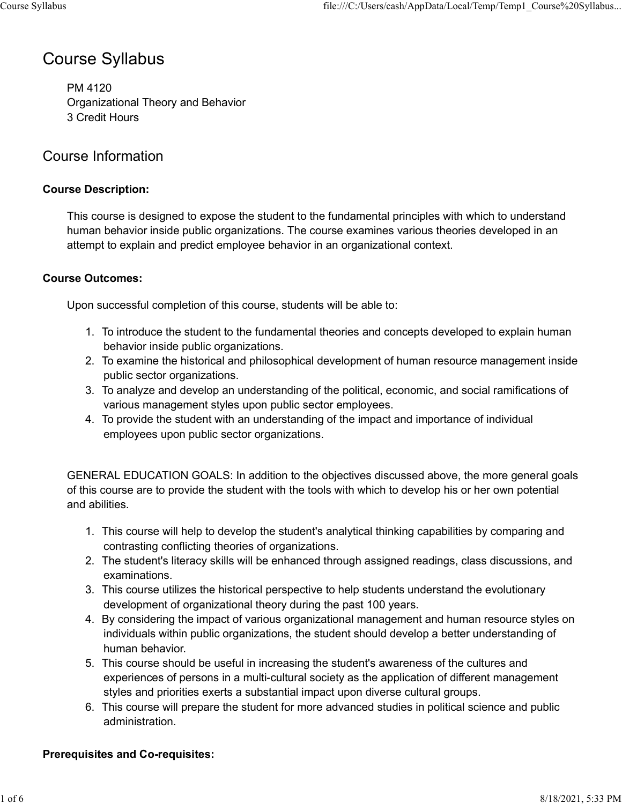# Course Syllabus

PM 4120 Organizational Theory and Behavior 3 Credit Hours

# Course Information

### Course Description:

This course is designed to expose the student to the fundamental principles with which to understand human behavior inside public organizations. The course examines various theories developed in an attempt to explain and predict employee behavior in an organizational context. 1.<br>
1. 1. Information<br>
1. Information<br>
1. Information<br>
1. Sourse is designed to expose the student to the fundamental principles with which to understand<br>
1. To information inside public organizations. The course examines anizational Theory and Behavior<br>
2. Information<br>
2. Course is designed to expose the student to the fundamental principles with which to understand<br>
ann behavior inside public organizations. The course examines various the **2.** Information<br>3. course is designed to expose the student to the fundamental principles with which to understand<br>nan behavior inside public organizations. The course examines various theories developed in an<br>mpt to expl 2. Information<br>
1. To provide the student with the fundamental principles with which to understand<br>
1. To intervient inside public organizations. The course examines various theories developed in an<br>
2. To explain and pred

### Course Outcomes:

Upon successful completion of this course, students will be able to:

- behavior inside public organizations.
- public sector organizations.
- various management styles upon public sector employees.
- employees upon public sector organizations.

GENERAL EDUCATION GOALS: In addition to the objectives discussed above, the more general goals of this course are to provide the student with the tools with which to develop his or her own potential and abilities. **Outcomes:**<br>
1. To introduce the student to the fundamental theories and concepts developed to explain human<br>
1. To introduce the student to the fundamental theories and concepts developed to explain human<br>
behavior inside In successful completion of this course, students will be able to:<br>
1. To introduce the student to the fundamental theories and concepts developed to explain human<br>
behavior inside public organizations.<br>
2. To examine the

- contrasting conflicting theories of organizations.
- examinations.
- development of organizational theory during the past 100 years.
- 1. To introduce the student to the fundamental theories and concepts developed to explain human<br>
behavior inside public organizations.<br>
2. To examine the historical and philosophical development of human resource managemen 2. To examine the historical and philosophical development of human resource management inside<br>
public sector organizations.<br>
3. To analyze and develop an understanding of the political, economic, and social ramifications individuals within public organizations, the student should develop a better understanding of human behavior. various management styles upon public sector employees.<br>
4. To provide the student with an understanding of the impact and importance of individual<br>
employees upon public sector organizations.<br>
NERAL EDUCATION GOALS: In ad NERAL EDUCATION GOALS: In addition to the objectives discussed above, the more general goals<br>is course are to provide the student with the tools with which to develop his or her own potential<br>abilities.<br>1. This course will
- experiences of persons in a multi-cultural society as the application of different management styles and priorities exerts a substantial impact upon diverse cultural groups.
- administration.

### Prerequisites and Co-requisites: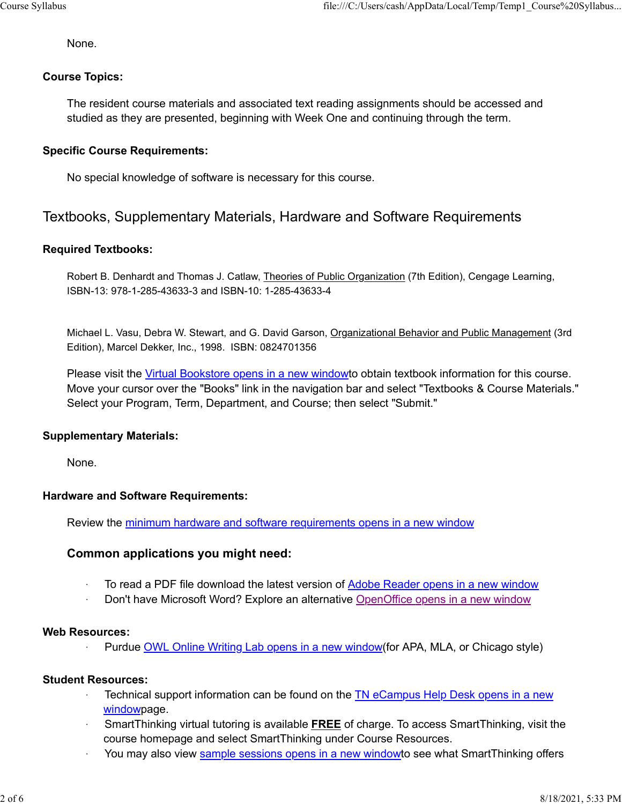None.

#### Course Topics:

The resident course materials and associated text reading assignments should be accessed and studied as they are presented, beginning with Week One and continuing through the term.

### Specific Course Requirements:

No special knowledge of software is necessary for this course.

# Textbooks, Supplementary Materials, Hardware and Software Requirements

#### Required Textbooks:

Robert B. Denhardt and Thomas J. Catlaw, Theories of Public Organization (7th Edition), Cengage Learning, ISBN-13: 978-1-285-43633-3 and ISBN-10: 1-285-43633-4

Michael L. Vasu, Debra W. Stewart, and G. David Garson, Organizational Behavior and Public Management (3rd Edition), Marcel Dekker, Inc., 1998. ISBN: 0824701356

Please visit the Virtual Bookstore opens in a new windowto obtain textbook information for this course. Move your cursor over the "Books" link in the navigation bar and select "Textbooks & Course Materials." Select your Program, Term, Department, and Course; then select "Submit."

#### Supplementary Materials:

None.

#### Hardware and Software Requirements:

Review the minimum hardware and software requirements opens in a new window

### Common applications you might need:

- <sup>1</sup> To read a PDF file download the latest version of Adobe Reader opens in a new window
- Don't have Microsoft Word? Explore an alternative OpenOffice opens in a new window

#### Web Resources:

Purdue OWL Online Writing Lab opens in a new window(for APA, MLA, or Chicago style)

#### Student Resources:

- Technical support information can be found on the TN eCampus Help Desk opens in a new windowpage.
- · SmartThinking virtual tutoring is available FREE of charge. To access SmartThinking, visit the course homepage and select SmartThinking under Course Resources.
- You may also view sample sessions opens in a new windowto see what SmartThinking offers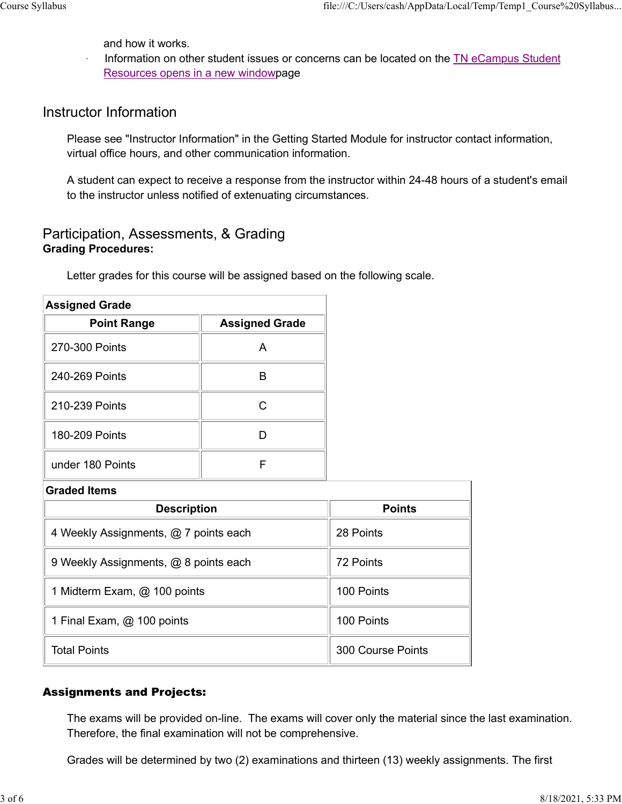and how it works.

Information on other student issues or concerns can be located on the TN eCampus Student Resources opens in a new windowpage Course Syllabus<br>
and how it works.<br>
Information on other student issues or concerns can be located on the <u>TN eCampus Student</u><br>
Pescures opens in a new windownage

### Instructor Information

### Participation, Assessments, & Grading Grading Procedures:

|                                                                                                                                                     | Resources opens in a new windowpage | information on other student issues or concerns can be located on the TN ecampus Student               |  |
|-----------------------------------------------------------------------------------------------------------------------------------------------------|-------------------------------------|--------------------------------------------------------------------------------------------------------|--|
| <b>Instructor Information</b>                                                                                                                       |                                     |                                                                                                        |  |
| virtual office hours, and other communication information.                                                                                          |                                     | Please see "Instructor Information" in the Getting Started Module for instructor contact information,  |  |
| to the instructor unless notified of extenuating circumstances.                                                                                     |                                     | A student can expect to receive a response from the instructor within 24-48 hours of a student's email |  |
| Participation, Assessments, & Grading<br><b>Grading Procedures:</b><br>Letter grades for this course will be assigned based on the following scale. |                                     |                                                                                                        |  |
| <b>Assigned Grade</b>                                                                                                                               |                                     |                                                                                                        |  |
| <b>Point Range</b>                                                                                                                                  | <b>Assigned Grade</b>               |                                                                                                        |  |
| 270-300 Points                                                                                                                                      | A                                   |                                                                                                        |  |
| 240-269 Points                                                                                                                                      | $\mathsf B$                         |                                                                                                        |  |
| 210-239 Points                                                                                                                                      | $\mathsf C$                         |                                                                                                        |  |
| 180-209 Points                                                                                                                                      | D                                   |                                                                                                        |  |
| under 180 Points                                                                                                                                    | F                                   |                                                                                                        |  |
| <b>Graded Items</b>                                                                                                                                 |                                     |                                                                                                        |  |
| <b>Description</b>                                                                                                                                  |                                     | <b>Points</b>                                                                                          |  |
| 4 Weekly Assignments, @ 7 points each                                                                                                               |                                     | 28 Points                                                                                              |  |
| 9 Weekly Assignments, @ 8 points each                                                                                                               |                                     | 72 Points                                                                                              |  |
| 1 Midterm Exam, @ 100 points                                                                                                                        |                                     | 100 Points                                                                                             |  |

| <b>Assigned Grade</b>                 |                       |                   |
|---------------------------------------|-----------------------|-------------------|
| <b>Point Range</b>                    | <b>Assigned Grade</b> |                   |
| 270-300 Points                        | A                     |                   |
| 240-269 Points                        | $\sf B$               |                   |
| 210-239 Points                        | $\mathsf C$           |                   |
| 180-209 Points                        | D                     |                   |
| under 180 Points                      | $\mathsf F$           |                   |
| <b>Graded Items</b>                   |                       |                   |
| <b>Description</b>                    |                       | <b>Points</b>     |
| 4 Weekly Assignments, @ 7 points each |                       | 28 Points         |
| 9 Weekly Assignments, @ 8 points each |                       | 72 Points         |
| 1 Midterm Exam, @ 100 points          |                       | 100 Points        |
| 1 Final Exam, @ 100 points            |                       | 100 Points        |
| <b>Total Points</b>                   |                       | 300 Course Points |

### Assignments and Projects:

The exams will be provided on-line. The exams will cover only the material since the last examination. Therefore, the final examination will not be comprehensive.

Grades will be determined by two (2) examinations and thirteen (13) weekly assignments. The first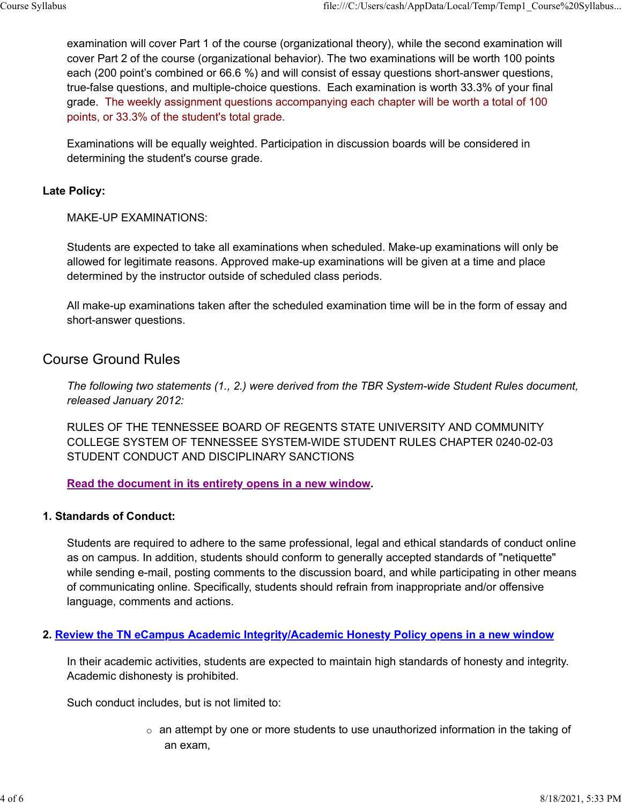examination will cover Part 1 of the course (organizational theory), while the second examination will cover Part 2 of the course (organizational behavior). The two examinations will be worth 100 points each (200 point's combined or 66.6 %) and will consist of essay questions short-answer questions, true-false questions, and multiple-choice questions. Each examination is worth 33.3% of your final grade. The weekly assignment questions accompanying each chapter will be worth a total of 100 points, or 33.3% of the student's total grade. Course Syllabus<br>
examination will cover Part 1 of the course (organizational theory), while the second examination will<br>
cover Part 2 of the course (organizational behavior). The two examinations will be worth 100 points<br>

Examinations will be equally weighted. Participation in discussion boards will be considered in determining the student's course grade.

#### Late Policy:

MAKE-UP EXAMINATIONS:

Students are expected to take all examinations when scheduled. Make-up examinations will only be allowed for legitimate reasons. Approved make-up examinations will be given at a time and place determined by the instructor outside of scheduled class periods.

All make-up examinations taken after the scheduled examination time will be in the form of essay and short-answer questions.

### Course Ground Rules

The following two statements (1., 2.) were derived from the TBR System-wide Student Rules document, released January 2012:

RULES OF THE TENNESSEE BOARD OF REGENTS STATE UNIVERSITY AND COMMUNITY COLLEGE SYSTEM OF TENNESSEE SYSTEM-WIDE STUDENT RULES CHAPTER 0240-02-03 STUDENT CONDUCT AND DISCIPLINARY SANCTIONS

Read the document in its entirety opens in a new window.

#### 1. Standards of Conduct:

Students are required to adhere to the same professional, legal and ethical standards of conduct online as on campus. In addition, students should conform to generally accepted standards of "netiquette" while sending e-mail, posting comments to the discussion board, and while participating in other means of communicating online. Specifically, students should refrain from inappropriate and/or offensive language, comments and actions.

#### 2. Review the TN eCampus Academic Integrity/Academic Honesty Policy opens in a new window

In their academic activities, students are expected to maintain high standards of honesty and integrity. Academic dishonesty is prohibited.

Such conduct includes, but is not limited to:

 $\circ$  an attempt by one or more students to use unauthorized information in the taking of an exam,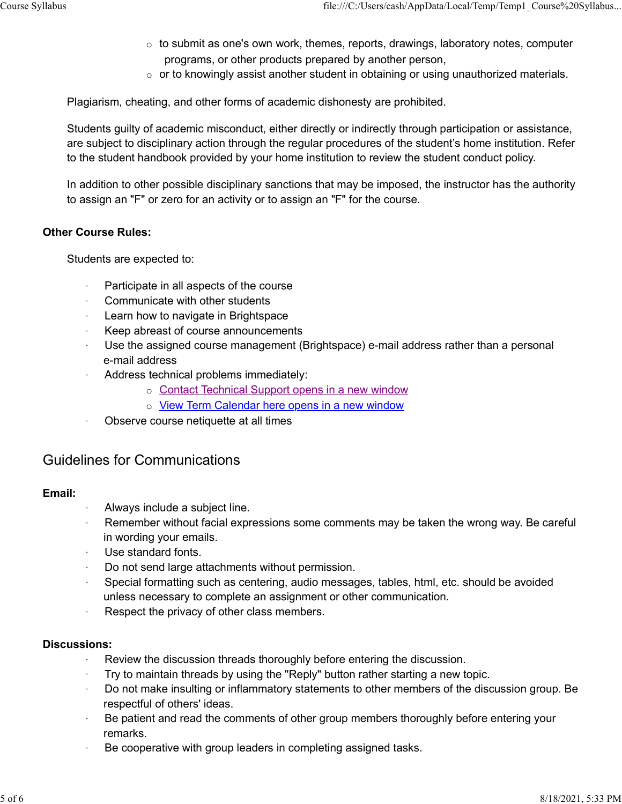- $\circ$  to submit as one's own work, themes, reports, drawings, laboratory notes, computer programs, or other products prepared by another person, Course Syllabus<br>
o to submit as one's own work, themes, reports, drawings, laboratory notes, computer<br>
o to submit as one's own work, themes, reports, drawings, laboratory notes, computer<br>
or to knowingly opcist another st
	- $\circ$  or to knowingly assist another student in obtaining or using unauthorized materials.

Plagiarism, cheating, and other forms of academic dishonesty are prohibited.

Students guilty of academic misconduct, either directly or indirectly through participation or assistance, are subject to disciplinary action through the regular procedures of the student's home institution. Refer to the student handbook provided by your home institution to review the student conduct policy.

In addition to other possible disciplinary sanctions that may be imposed, the instructor has the authority to assign an "F" or zero for an activity or to assign an "F" for the course.

### Other Course Rules:

Students are expected to:

- · Participate in all aspects of the course
- Communicate with other students
- Learn how to navigate in Brightspace
- Keep abreast of course announcements
- Use the assigned course management (Brightspace) e-mail address rather than a personal e-mail address
- Address technical problems immediately:
	- o Contact Technical Support opens in a new window
	- o View Term Calendar here opens in a new window
- · Observe course netiquette at all times

### Guidelines for Communications

### Email:

- · Always include a subject line.
- Remember without facial expressions some comments may be taken the wrong way. Be careful in wording your emails.
- Use standard fonts.
- Do not send large attachments without permission.
- Special formatting such as centering, audio messages, tables, html, etc. should be avoided unless necessary to complete an assignment or other communication.
- Respect the privacy of other class members.

### Discussions:

- · Review the discussion threads thoroughly before entering the discussion.
- Try to maintain threads by using the "Reply" button rather starting a new topic.
- · Do not make insulting or inflammatory statements to other members of the discussion group. Be respectful of others' ideas.
- Be patient and read the comments of other group members thoroughly before entering your remarks.
- Be cooperative with group leaders in completing assigned tasks.